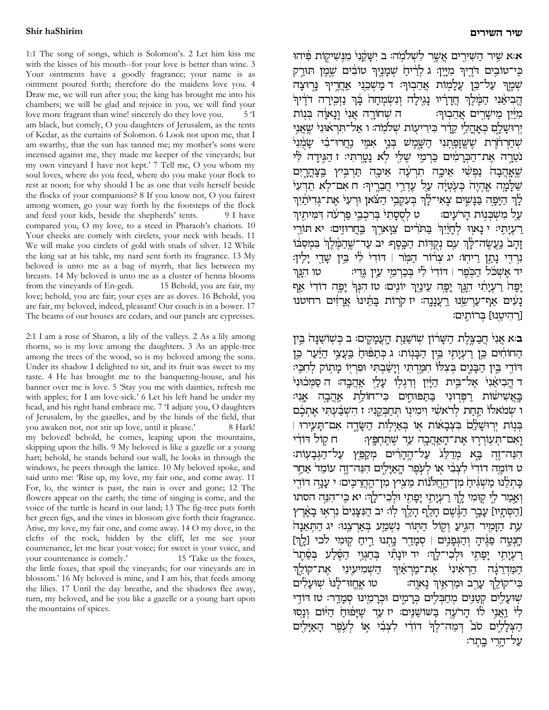עיר הַשִּׁירִים אֲשֵר לִשְׁלֹמְה: ב יִשָּקֲנִי מִנִּשִׁיקִוֹת פִֿיהוּ**x** בֵּי־טוֹבֵים דֹּדֵיךְ מְיַיֵּן: ג לְרָ֫יהַ שְׁמֲנֵיךְ טוֹבְים שֶׁמֵן תּוּרֵק שְׁמֵךְ עַל־כֵּן עֵלַמְוֹת אֲהֵבְוּךְ: ד מַשְׁבֵנִי אֲחֲרֵיךְ נַרְוּצַה הֱבִיאֲנִי הַמֱׄלֵךְ חֲדֵרִיו נַגֵילַה וְנָשְׂמְחָה בֵּׁךְ נַזְכֵּירַה דֹדֵיוּ ְ מִיֹּיַן מֵישַׁרֵים אֲהֵבִוּךְ: הוֹשׁחוֹרֵה אֲנִי וַנַאוֵֹה בְּנוֹת יְרוּשָׁלֶם בְּאָהֲלֵי קֵדָ֫ר בִּירִיעֻוֹת שְׁלֹמְה: ו אַל־תִּרִאוּנִיֹּ שֵׁאֲנֵי ֿשְׁחַרִדׂרֵת שֵׁשֵׁזַפַרִנִּי הַשֵּׁמֵשׁ בִּנֵי אִמֶּי נֵחֲרוּ־בִי שַׂמְנִי וֹטֵרַה אַת־הַכְּרַמִים כַּרְמֵי שָׁלִִי לְא נַטֲרְתִּי: ז הַגֵּידַה לִי שֵׁאֲהֲבָה ٰ נַפְשָׁי אֵיכֵה תְרִעֵּה תֵּרְבִּיץ בַּצָּהֲרָיִם שַׁלַמֲה אֲהָיֵה כִּעְטְיַה עָל עֵדְרֵי חֲבָרֵיךָ: ח אִם־לָא תֵדְעִי לֶךְ הַיָּפֶה בַּנָּשִׁים צָאִי־לֶּךְ בִּעִקְבֵי הַצֹּאן וּרִעִי אַת־גִּדִיּתַ֫יִךְ על משכנות הרעים: ט לססתי ברכבי פרעה דמיתיר רעיתי: י נאוו לחווין בחורים צוארך בחרוזים: יא תורי וָהָב<sup>י</sup> נַעֲשֶׂה־לָוְךְ עִם נְקִדְוֹת הַכֶּסֵף: יב עַד־שֵׁהַמֵּלֵוְ בִּמִסְבּוֹ נְרְדִּי נַתֲן רֵיחָוֹ: יֹג צְרוֹר הַמָּוֹ | דּוֹדִי לִי בֵּין שֲדֵי יַלֵין: יד אֲשָׁכֹּל הַכִּפֵר | דּוֹדִי לִי בִּבַרְמֵי עֵין גֵדִי: טו הִנֵּךְ יָפָה בִעְיָתִי הָנֶּךְ יָפָה עֵינַיָךְ יוֹנֵים: טז הִנְּךְ יַפֵה דוֹדִי אֵף נַעִים אַף־עַרִשֻׂנוּ רֵעֲנַנֵה: יז קרות בַּתֵּינוּ אַרַזים רחיטנו [רַהִיטֵנוּ] בִּרוֹתֵים:

בּ∶א אַנִי ּ חֲבַצֵלֵת הַשָּׂרוֹן שִׁוֹשַנַּת הַעֲמָקֵים: ב כִּשְׁוֹשַנַּה בֵּין הַחוֹחִים כֵּן רַעְיַתִי בֵּין הַבַּנִוֹת: ג כִּתַפּוּחַ בֵּעֲצֵי הַיַּעֲר כֵּן  $:$ דּוֹדֵי בֵּין הַבַּנִים בִּצְלוֹ חְמֵדְתִּי וְיַשֲׁבְתִּי וּפְרִיוֹ מַתְוֹק לְחָבֶי ד הֱבִיאֲנִי אֱל־בֵּית הַיַּ֫יִן וִדְגִלְוֹ עָלַיְ אֲהֲבָה: הַסֲמִכוּנְיֹ בָּאֲשִׁישׂוֹת רַפִּדְוּנִי בַּתַפּוּחָים כִּי־חוֹלַת אַהֲבָה אָנִי: ו שמאלו תַּחַת לִרֹאשִׂי וִימִינְוֹ תִּחַבְּקֵנְי: ז הִשְׁבַּٰעְתִּי אֶתְכֶּם | בִּנְוֹת יִרְוּשַׁלֵַם בִּצְבָאוֹת או בִאַיִלוֹת הַשֲׂדֶה אִם־תַּעֲירוּ וַאִם־תִּעְוֹרְרֵי אַת־הָאַהֲבָה עַד שֵׁתֵחִפֶּץ: ח קוֹל דּוֹדִי הַנֵּה־זֵה בָּא מִדַלֵּגֹ עַל־הֵהָרִיִ<sup>ׂ</sup>יִים מְקַפֵּץ עַל־הַגְּבָעְוֹת: ט דוֹמֵה דוֹדִי לִצְבִי או לִעְפֵר הַאַיַּלִים הִנֵּה־זֵה עוֹמֵד אַחֲר כַּתְלֵנוּ מַשְׁגִּיהַ מִן־הַחֲלֹנוֹת מֵצְיִץ מִן־הַחֲרַכֵּים: י עַנֵה דוֹדִי וְאֲמַר לִי קִוּמִי לֵךְ רַעְיַתֵי יַפַתִי וּלִכְי־לֵךְ: יֹא כֵּי־הְנֵה הסתו [הַסְתָיו] עָבֶר הַגֵּשֵׁם חָלַף הָלֵךְ לְוֹ: יב הַנִּצָנִים נִרְאִוּ בָאָרֵץ עֵת הַזַּמְיִר הְגִּיעַ וְקִוֹּל הַתְּוֹר נִשְׁמַע בְּאַרְצֵנוּ: יג הַתְּאֵנָה הֲנָטֱה פַגֵּ֫יהָ וְהַגִּפָּנִים | סְמָדֵר נֵהְנוּ רֵיחַ קִוּמִי לכי [לֶה] רַעְיַתֵי יַפָּתִי וּלְכִי־לֵךְ: יד יוֹנַתְיׁ בִחֲגְוֵי הַסֵּלַע בִּסֶתֵר הַמַּדְרֵגֲה הַרְאִינִי אֲת־מַרְאַיִךְ הַשְׁמִיעָינִי אֲת־קוֹלֵךְ כִּי־קוֹלֵךְ עָרֵב וּמַרִאֵיךְ נָאוֶה: טו אֶחֱזוּ־לָנוּ שְׁוּעָלִים שועלים קטנים מחכלים כרמים וכרמינו סמדר: טז דודי לִיׂ וַאֲנִי לוֹ הָרֹעֵה בַּשׁוֹשַׁנִּים: יז עַד שֵׁיָּפוּהַ הַיֹּוֹם וְנָסוּ  $\mathbf{p}$ ְהַצְלָלֵים סֹב יְהַמֵה־לְךֹּ דוֹדִי לִצְבִי אָוֹ לְעָפֶר הָאַיָּלִים על־הרי בתר:

1:1 The song of songs, which is Solomon's. 2 Let him kiss me with the kisses of his mouth--for your love is better than wine. 3 Your ointments have a goodly fragrance; your name is as ointment poured forth; therefore do the maidens love you. 4 Draw me, we will run after you; the king has brought me into his chambers; we will be glad and rejoice in you, we will find your love more fragrant than wine! sincerely do they love you. 5 'I am black, but comely, O you daughters of Jerusalem, as the tents of Kedar, as the curtains of Solomon. 6 Look not upon me, that I am swarthy, that the sun has tanned me; my mother's sons were incensed against me, they made me keeper of the vineyards; but my own vineyard I have not kept.' 7 Tell me, O you whom my soul loves, where do you feed, where do you make your flock to rest at noon; for why should I be as one that veils herself beside the flocks of your companions? 8 If you know not, O you fairest among women, go your way forth by the footsteps of the flock and feed your kids, beside the shepherds' tents. 9 I have compared you, O my love, to a steed in Pharaoh's chariots. 10 Your cheeks are comely with circlets, your neck with beads. 11 We will make you circlets of gold with studs of silver. 12 While the king sat at his table, my nard sent forth its fragrance. 13 My beloved is unto me as a bag of myrrh, that lies between my breasts. 14 My beloved is unto me as a cluster of henna blooms from the vineyards of En-gedi. 15 Behold, you are fair, my love; behold, you are fair; your eyes are as doves. 16 Behold, you are fair, my beloved, indeed, pleasant! Our couch is in a bower. 17 The beams of our houses are cedars, and our panels are cypresses.

2:1 I am a rose of Sharon, a lily of the valleys. 2 As a lily among thorns, so is my love among the daughters. 3 As an apple-tree among the trees of the wood, so is my beloved among the sons. Under its shadow I delighted to sit, and its fruit was sweet to my taste. 4 He has brought me to the banqueting-house, and his banner over me is love. 5 'Stay you me with dainties, refresh me with apples; for I am love-sick.' 6 Let his left hand be under my head, and his right hand embrace me. 7 'I adjure you, O daughters of Jerusalem, by the gazelles, and by the hinds of the field, that you awaken not, nor stir up love, until it please.' 8 Hark! my beloved! behold, he comes, leaping upon the mountains, skipping upon the hills. 9 My beloved is like a gazelle or a young hart; behold, he stands behind our wall, he looks in through the windows, he peers through the lattice. 10 My beloved spoke, and said unto me: 'Rise up, my love, my fair one, and come away. 11 For, lo, the winter is past, the rain is over and gone; 12 The flowers appear on the earth; the time of singing is come, and the voice of the turtle is heard in our land; 13 The fig-tree puts forth her green figs, and the vines in blossom give forth their fragrance. Arise, my love, my fair one, and come away. 14 O my dove, in the clefts of the rock, hidden by the cliff, let me see your countenance, let me hear your voice; for sweet is your voice, and your countenance is comely.' 15 Take us the foxes, the little foxes, that spoil the vineyards; for our vineyards are in blossom.' 16 My beloved is mine, and I am his, that feeds among the lilies. 17 Until the day breathe, and the shadows flee away, turn, my beloved, and be you like a gazelle or a young hart upon the mountains of spices.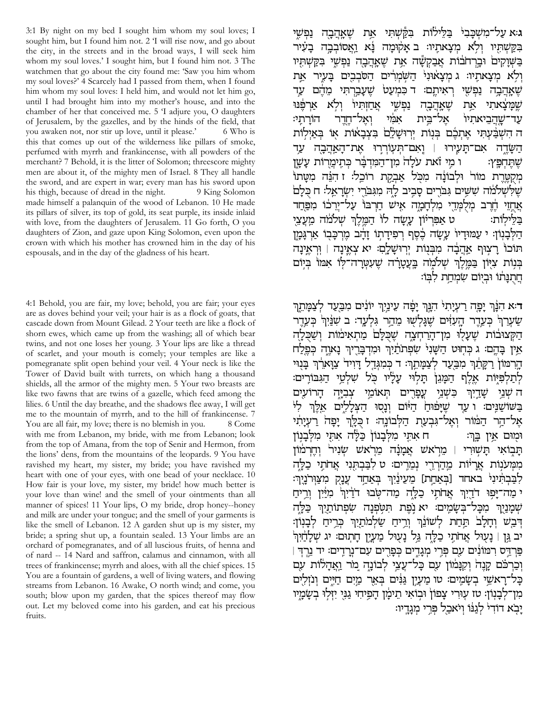h·¦J§p©b vc£¨v«t¤¨J ,¬¥t h¦T§J¾E¦©C ,I ºkh¥K©C Æh¦c¨F§J¦nÎk©g t**:d** בְּקַשְׁתְיו וִלְא מִצָאתֵיו: ב אַקוּמַה נַא וַאֲסוֹבְבֶה בָעִיר בַּשַׁוַקִים וּבֵרִחׂבוֹת אַבַקִשָּׁה אֵת שֵׁאָהֲבָה נַפִשְׁי בִּקַשְׁתִּֽיו וִלְא מִצַאתֵיו: גמִצַאוּנִי הַשָּׂמְרִים הַסֹּבְבִים בַּעַיִר אֵת שאהבה נפשי ראיתם: דכמעט שעברתי מהם שְׁמָּעָאתִי אֵת שֵׁאֲהֲבָה נַפִ*ּשִׁי אֲ*חַזִּתִּיוֹ וִלְא<sub>ֶ</sub> אַרִפֵּנּוּ ∵שֵׂהֲבִיאתִיוֹ אֵל־בֵּית אִמִ*ּׁי* וְאֵל־חֲדֵר הוֹרתֵי ה השבעתי אתכם בנות ירושלם בצבאות או באילות הַשֲׂדֵה אִם־תַּעִירוּ | וֵאִם־תִּעְוֹרְרֵוּ אֶת־הָאַהֲבָה עַד ֹשֵׁתֵחִפֵּץ: □ ι מִי וֹאת עֹלַה מִן־הַמִּדְבָּר כִּתֵימֵרוֹת עַשָּׁן מִקְטֵרֵת מוֹר וּלְבוֹנֶה מִכְּל אַבְקַת רוֹכֵל: ז הִנֵּה מִטָּתוֹ שִׁלְשִׁלֹמֹה שִׁשֵּׁים גִּבֹרִים סָבֶיב לָה מְגִּבֹרֵי יְשָׂרָאֱל: ח כִּלַם אַחֱזִי חֹרֶב מִלְמְדֵי מִלְחַמָה אֵישׁ חַרְבּוֹ עַל־יֵרְכֹוֹ מִפַּחַד  $\mathbf{x}$ בַּלֵילְוֹת:  $\mathbf{y}$  ט אַפְרִיוֹן עַשָׂה לוֹ הַמֵּלֵךְ שִׁלמֹה מֵעֲצֵי הַלְּבָנְוֹן: י עַמוּדַיו<sup>י</sup> עֵשָׂה כֶּסֶף רִפְידַתְוֹ זַהָב מֵרְכָּבְוֹ אַרְגָּמֶן תּוֹכוֹ רַצְוּף אֲהֲבָה מִבְּנוֹת יִרְוּשַׁלֵם: יֹא צְאֵינַה | וִרְאֵינַה בִּנְוֹת צְיִּוֹן בַּמֱלֵךְ שָׁלֹמָה בֵּעֲטָרַה שֵׁעְטָרַה־לִּוֹ אָמוֹ בִיִּוֹם חתנתו וביום שמחת לבו:

יא הִנָּֽךְ יָפֶה רַעְיָתִי הִנֵּךְ יָפָׂה עֵינַיִךְ יוֹנִים מִבַּעֲד לִצַמָּתֵ<del>ן,</del> שַׂעָרַף בְּעֱדֶר הַעְזִּים שֶׁגַּלְשָׁוּ מֵהַר גִּלְעֲד: ב שִׁנַּ֫יִף בִעֲדֵר הַקִּצוּבֿוֹת שֵׁעֲלִוּ מִן־הַרַחִצָה שֵׁכִּלַם מַתִאִימוֹת וִשַּׁכִּלַה לֵאָין בָּהֵם: ג כִּחְוּט הַשָּׁנִי ׁשִׂפְתֹתֲיִךְ וּמִדְבָרֵיךְ נָאוֵהָ כִּפֵלַח הֵרמוֹן רַקַּתֵוּ מִבַּעֲד לִצַמַּתֵוּ: ד כִּמְגָדֵל דַוִיד צַוַּארֶךְ בַּנִוּי לְתַלְפִיָּוֹת אֱלֶף הַמָּג<sup>ֶן</sup> תַּלְוּי עָלָיו כִּל שִׁלְטֵי הַגִּבּוֹרֵים: ה שִׁנֵי שָׁדֵיִךְ כִּשְׁנֵי עֲפָרִים תִּאוֹמֵי צִבְיָּה הָרוֹעָיִם בַּשׁוֹשַׁנֵּים: וּ עַד שֵׁיַפוּחַ הַיֹּוֹם וְנַסוּ הַצִלַלִים אֵלֵךְ לִיּ אַל־הַר הַמֹּוֹר וְאֵל־גִּבְעַת הַלְּבוֹנֵה: ז כְּלֵךְ יַפָּה<sup>ְי</sup> רַעְיַתְנִי וּמוּם אֵין בֵּךְ: ח אִתְּי מִלְבָנוֹן כַּלַּה אִתְי מִלְבָנִוֹן תַּבוֹאִי תַּשְׁוּרִי | מֵרֹאשׁ אֲמַנַה מֵרֹאשׁ שָׂנִיר<sup>ַ</sup> וְחֵרְמֹוֹן מִמְּעֹנְוֹת אֲרָיוֹת מֵהַרְרֵי נְמֵרִים: ט לִבַּבְתְּנִי אֲחֹתֵי כַלַּה לְבַּבְתְּינִי באחד [בִאַחֲת] מֵעֵינַיִּךְ בִּאַחֲד עֵנָק מִצַּוְרֹנֵיִךְ: י מַה־יַּפִוּ דֹדֵיִךְ אֲחֹתֵי כַלַּה מַה־טַּבוּ דֹדָיִךְ מִיַּיִן וְרֵיחַ ישְמַנַיֵךְ מִכָּל־בְּשָׂמְים: יא נֶפֶת תִּטְּפְנָה שִׂפְתוֹתַיָךְ כַּלָּהֶ דִּבְשׁ וְחָלָבֹ תַּחַת לְשׁוֹנֵרְ וְרֵיחַ שַׂלְמֹתַיָךְ כְּרֵיחַ לְבָנִוֹן: יב גֵן ∣ נָעִוּל אֲחֹתִי כַלַּה גֵּל נָעִוּל מַעֲיֶן חָתִוּם: יג שִׁלַחַ֫יִן ְּ | פַּרְדֵּס רִמּוֹנִים עִם פְּרֵי מִגָּדֵים כִּפָרִים עִם־נְרַדִּים׃ יד נֵרִדְּ וְכַרִכֹּם קַנֵה וִקִנַּמוֹן עִם כַּל־עֵצֵי לִבוֹנַה מֹר וַאֲהַלֹוֹת עִם כַּל־רַאשֵׁי בִשָּׂמֵים: טו מַעְיֵן גַּנְיִם בִאֵר מַיִם חַיִּים וְנֹזְלִים מִן־לְבָנְוֹן: טז עַוּרִי צַפוֹן וּבְוֹאִי תֵימַון הַפֵּיחִי גַנְּיִ יִזְלְוּ בְשַׂמֲיו יָּבָׂא דוֹדִ<sup>ן</sup> לְגַנוֹ וְיֹאכַל פְּרֵי מִגַ<u>ד</u>ִיו:

3:1 By night on my bed I sought him whom my soul loves; I sought him, but I found him not. 2 'I will rise now, and go about the city, in the streets and in the broad ways, I will seek him whom my soul loves.' I sought him, but I found him not. 3 The watchmen that go about the city found me: 'Saw you him whom my soul loves?' 4 Scarcely had I passed from them, when I found him whom my soul loves: I held him, and would not let him go, until I had brought him into my mother's house, and into the chamber of her that conceived me. 5 'I adjure you, O daughters of Jerusalem, by the gazelles, and by the hinds of the field, that you awaken not, nor stir up love, until it please.' 6 Who is this that comes up out of the wilderness like pillars of smoke, perfumed with myrrh and frankincense, with all powders of the merchant? 7 Behold, it is the litter of Solomon; threescore mighty men are about it, of the mighty men of Israel. 8 They all handle the sword, and are expert in war; every man has his sword upon his thigh, because of dread in the night. 9 King Solomon made himself a palanquin of the wood of Lebanon. 10 He made its pillars of silver, its top of gold, its seat purple, its inside inlaid with love, from the daughters of Jerusalem. 11 Go forth, O you daughters of Zion, and gaze upon King Solomon, even upon the crown with which his mother has crowned him in the day of his espousals, and in the day of the gladness of his heart.

4:1 Behold, you are fair, my love; behold, you are fair; your eyes are as doves behind your veil; your hair is as a flock of goats, that cascade down from Mount Gilead. 2 Your teeth are like a flock of shorn ewes, which came up from the washing; all of which bear twins, and not one loses her young. 3 Your lips are like a thread of scarlet, and your mouth is comely; your temples are like a pomegranate split open behind your veil. 4 Your neck is like the Tower of David built with turrets, on which hang a thousand shields, all the armor of the mighty men. 5 Your two breasts are like two fawns that are twins of a gazelle, which feed among the lilies. 6 Until the day breathe, and the shadows flee away, I will get me to the mountain of myrrh, and to the hill of frankincense. 7 You are all fair, my love; there is no blemish in you. 8 Come with me from Lebanon, my bride, with me from Lebanon; look from the top of Amana, from the top of Senir and Hermon, from the lions' dens, from the mountains of the leopards. 9 You have ravished my heart, my sister, my bride; you have ravished my heart with one of your eyes, with one bead of your necklace. 10 How fair is your love, my sister, my bride! how much better is your love than wine! and the smell of your ointments than all manner of spices! 11 Your lips, O my bride, drop honey--honey and milk are under your tongue; and the smell of your garments is like the smell of Lebanon. 12 A garden shut up is my sister, my bride; a spring shut up, a fountain sealed. 13 Your limbs are an orchard of pomegranates, and of all luscious fruits, of henna and of nard -- 14 Nard and saffron, calamus and cinnamon, with all trees of frankincense; myrrh and aloes, with all the chief spices. 15 You are a fountain of gardens, a well of living waters, and flowing streams from Lebanon. 16 Awake, O north wind; and come, you south; blow upon my garden, that the spices thereof may flow out. Let my beloved come into his garden, and eat his precious fruits.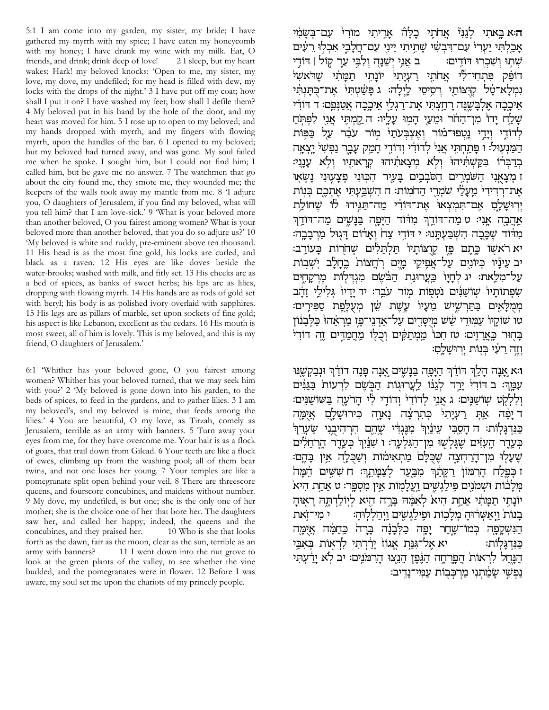5:1 I am come into my garden, my sister, my bride; I have gathered my myrrh with my spice; I have eaten my honeycomb with my honey; I have drunk my wine with my milk. Eat, O friends, and drink; drink deep of love! 2 I sleep, but my heart wakes; Hark! my beloved knocks: 'Open to me, my sister, my love, my dove, my undefiled; for my head is filled with dew, my locks with the drops of the night.' 3 I have put off my coat; how shall I put it on? I have washed my feet; how shall I defile them? 4 My beloved put in his hand by the hole of the door, and my heart was moved for him. 5 I rose up to open to my beloved; and my hands dropped with myrrh, and my fingers with flowing myrrh, upon the handles of the bar. 6 I opened to my beloved; but my beloved had turned away, and was gone. My soul failed me when he spoke. I sought him, but I could not find him; I called him, but he gave me no answer. 7 The watchmen that go about the city found me, they smote me, they wounded me; the keepers of the walls took away my mantle from me. 8 'I adjure you, O daughters of Jerusalem, if you find my beloved, what will you tell him? that I am love-sick.' 9 'What is your beloved more than another beloved, O you fairest among women? What is your beloved more than another beloved, that you do so adjure us?' 10 'My beloved is white and ruddy, pre-eminent above ten thousand. 11 His head is as the most fine gold, his locks are curled, and black as a raven. 12 His eyes are like doves beside the water-brooks; washed with milk, and fitly set. 13 His cheeks are as a bed of spices, as banks of sweet herbs; his lips are as lilies, dropping with flowing myrrh. 14 His hands are as rods of gold set with beryl; his body is as polished ivory overlaid with sapphires. 15 His legs are as pillars of marble, set upon sockets of fine gold; his aspect is like Lebanon, excellent as the cedars. 16 His mouth is most sweet; all of him is lovely. This is my beloved, and this is my friend, O daughters of Jerusalem.'

6:1 'Whither has your beloved gone, O you fairest among women? Whither has your beloved turned, that we may seek him with you?' 2 'My beloved is gone down into his garden, to the beds of spices, to feed in the gardens, and to gather lilies. 3 I am my beloved's, and my beloved is mine, that feeds among the lilies.' 4 You are beautiful, O my love, as Tirzah, comely as Jerusalem, terrible as an army with banners. 5 Turn away your eyes from me, for they have overcome me. Your hair is as a flock of goats, that trail down from Gilead. 6 Your teeth are like a flock of ewes, climbing up from the washing pool; all of them bear twins, and not one loses her young. 7 Your temples are like a pomegranate split open behind your veil. 8 There are threescore queens, and fourscore concubines, and maidens without number. 9 My dove, my undefiled, is but one; she is the only one of her mother; she is the choice one of her that bore her. The daughters saw her, and called her happy; indeed, the queens and the concubines, and they praised her. 10 Who is she that looks forth as the dawn, fair as the moon, clear as the sun, terrible as an army with banners? 11 I went down into the nut grove to look at the green plants of the valley, to see whether the vine budded, and the pomegranates were in flower. 12 Before I was aware, my soul set me upon the chariots of my princely people.

ה:א בֵאתִי לְגַנִּיׂ אֲחֹתֵי כָלָה אָרִיתִי מוֹרִי<sup>וֹ</sup> עִם־בִּשָׂמִי אַכֵלְתִּי יַעָרִי עִם־דְּבִשָּׂי שָׁתֵיתִי יֵינְיִ עִם־חֲלָבֵי אִבְלִוּ רֵעִים שִׁתְוּ וְשָׁכָרְוּ דּוֹדֵים:  $\mu$ ַבְי יִשֵׁנָהְ וְלְבֵי עֵר קוֹל | דּוֹדֵי דוֹפֵק פִּתְחִי־לְּי אֲחֹתִי רַעְיַתְי<sup>{</sup> יוֹנַתֵי תַמַּתְי שֵׁרֹאשָׁי וִמְלָא־טָל קְוָצוֹתֵי רְסִיסֵי לֵיִלָה: ג פַּשַׁטִתִּי אֵת־כִּתַּנִתִּי אֵיכַבַה אֵלְבַשֵׁנַּה רַחֲצְתִּי אֶת־רַגְלַיְ אֵיכֵכַה אֲטַנִּפֵם: ד דּוֹדִי שַׁלַח יַדוֹ מִן־הַחֹׂר וּמֵעֵי המוּ עַלֵיו: ה קמתֵי אֲנִי לִפְתֹחַ לדודי וידי נטפו־מור ואצבעתי מור עבר על כפות הַמַּנְעִוּל: ו פַּתֲחִתֵּי אֲנִי ּ לְדוֹדִי וְדוֹדִי חָמַק עָבֶר נַפְשִׁי יַצְאֲה בִדַּבִּרֹוֹ בִּקֲשָׁתְּיהוֹ וְלִא מִצָאתְיהוּ קִרָאתְיו וְלִא עָנֵנֵי: ו מִצָאֲנִי הַשֹּׁמְרֵים הַסֹּבְבִים בָּעִיר הִכְּוּנִי פִצָעְוּנִי נָשִׂאַוּ אַת־רִדִידִי מֵעַלֵּי שֹמְרֵי הַחֹמְוֹת: ח הִשְׁבֵעְתִּי אֶתְכֶם בְּנְוֹת יִרוּשַׁלֵם אַם־תִּמְצְאוּ אַת־דּוֹדִי מַה־תַּגְּידוּ לוֹ שֵׁחוֹלֵת אַהֲבָה אַנִי: ט מַה־דוֹדֱךְ מִדוֹד הַיַּפָה בַּנַשִׁים מַה־דוֹדֵךְ מִדּׁוֹד שֵׁכָּכֵה הִשְׁבַעִתֲנוּ: י דּוֹדֵי צַח וְאַדוֹם דַּגְוּל מֵרְבָבֶה: יא ראשו כֵּתֵם פֶּז קוָצוֹתָיו<sup>ֹ</sup> תַּלְתַּלְים שִׁחֹרוֹת כָּעוֹרֵב: יב עֵינָיו כִּיוֹנִיִם עַל־אֲפִיקֵי מָיָם רְחֲצוֹת<sup>י</sup> בֵחָלָב יִשְׁבִוֹת עַל־מִלֵאת: יג לְחַיַּוֹ כֵּעֲרוּגֵת הַבֹּשֵׂם מִגְדִלְוֹת מֵרִקַחָים שִׂפְתוֹתֵיוֹ שְׁוֹשֲנִים נֹטְפִוֹת מֵוֹר עֹבֵר: יד יַדַיוֹ גִּלְילֵי זַדְב :מִמְלַאִים בַּתַּרִשִׁישׁ מֵעָיו<sup>י</sup> עֵשֵׁת שֵׁׂן מִעְלֵפֵת סַפִּירֵים טו שוֹקַיוֹ עַמִוּדֵי שֵׁשׁ מִיִסֲדִים עַל־אַדְנֵי־פֵו מַרְאֲהוֹ בַּלְבַנוֹן בַּחִוּר כֵּאֲרַזֵים: טז חִכּוֹ מַמְתַקִּים וְכִלְוֹ מַחֲמַדֵּים זֵהְ דוֹדִי<sup>וֹ</sup> וזה רעי בנות ירושלם:

י¤ אָנָה הָלֵךְ דּוֹדֵךְ הַיָּפָה בַּנָּשִים אֲנָה פָנָה דוֹדֵךְ וּנִבַקְשֵׁנּוּ עִמֲךָ: ב דּוֹדִי יַרַד לְגַנוֹ לֵעֲרוּגוֹת הַבְּשֵׁם לְרָעוֹת בַּגֲנִים וִלְלְקָט שְׁוֹשַנִּים: ג אֲנִי לְדוֹדִי וְדוֹדֵי לְי הַרֹעַה בַּשׁוֹשַׁנֵּים: ד יָפָר אַתִּ רַעִיָּתִי כִּתְרִצָּה נָאוָה כִּירוּשָׁלָם אֲיָמֶה בַּנִּדְגַּלְוֹת: ה הַסֱבִּי עֵינַ֫יָך מִנֵּגִדְי שֵׁהֶם הִרְהִיבִנִי שַׂעְרֶךְ כִּעֲדֵר הָעִזִּים שֵׁגָּלִשְׁוּ מִן־הַגִּלְעָד: ו שִׁנַּ֫יִךְ כִּעֲדֵר הָרִהֵלְים שֵׁעָלוּ מִן־הַרַחִצָה שֵׁכִּלַם מַתְאִימוֹת וִשַּׁכִּלָה אֵין בַּהֵם: π כִּבֵּלַח הָרִמּוֹן רַקָּתֵוּ מִבַּעַד לִצַמָּתֵוּ: ח שִׁשָּׁים הֵמָּה  $\check{\mathbf{x}}$ מִלַכּוֹת וּשִׁמֹנִיִם פֵּילַגִשִׁים וַעֲלָמְוֹת אֵין מִסְפֵר: ט אַחַת הִיא יוֹנָתֵי תַמַּתְי אַחֲת הִיא<sup>י</sup> לְאִמַּה בָּרֵה הִיא לְיוֹלַדְתָּה רָאִוּהַ בָנוֹת נַיִּאַשִּׁרוּהָ מִלָּכְוֹת וּפֵילַגִשִׁים וַיִּהַלְיוּהָ: ¨ י מִי־זְאת הַגְּשְׁקָפָה כִּמוֹ־שָׁחַר יָפֶה כַלְבָנָה בַרַה כֵּחַמָּה אֲיִמָּה h´¥C¦t§C ,It § r¦k h¦T §s º©r¨h ÆzId¡t ,³©B¦DÎk¤t th :,Ik¨« D §s¦B©F הַנָּחֲל לִרְאוֹת הַפֵּרְחָה הַגֵּפֵן הֵנֵצוּ הָרִמּנֵים: יב לְא יַדַ֫עִתִּי נִפִישֵׁי שַׂמֲׁתִנִי מַרִכְּבוֹת עַמְי־נַדֵיב: